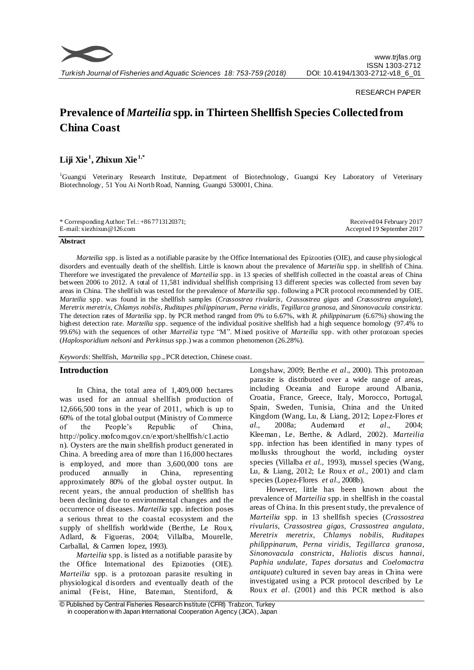

### RESEARCH PAPER

# **Prevalence of** *Marteilia* **spp. in Thirteen Shellfish Species Collected from China Coast**

# **Liji Xie <sup>1</sup> , Zhixun Xie 1,\***

<sup>1</sup>Guangxi Veterinary Research Institute, Department of Biotechnology, Guangxi Key Laboratory of Veterinary Biotechnology, 51 You Ai North Road, Nanning, Guangxi 530001, China.

#### **Abstract**

*Marteilia* spp. is listed as a notifiable parasite by the Office International des Epizooties (OIE), and cause physiological disorders and eventually death of the shellfish. Little is known about the prevalence of *Marteilia* spp. in shellfish of China. Therefore we investigated the prevalence of *Marteilia* spp. in 13 species of shellfish collected in the coastal areas of China between 2006 to 2012. A total of 11,581 individual shellfish comprising 13 different species was collected from seven bay areas in China. The shellfish was tested for the prevalence of *Marteilia* spp. following a PCR protocol recommended by OIE. *Marteilia* spp. was found in the shellfish samples (*Crassostrea rivularis*, *Crassostrea gigas* and *Crassostrea angulate*)*, Meretrix meretrix*, *Chlamys nobilis*, *Ruditapes philippinarum*, *Perna viridis*, *Tegillarca granosa*, and *Sinonovacula constricta*. The detection rates of *Marteilia* spp. by PCR method ranged from 0% to 6.67%, with *R. philippinarum* (6.67%) showing the highest detection rate. *Marteilia* spp. sequence of the individual positive shellfish had a high sequence homology (97.4% to 99.6%) with the sequences of other *Marteilia* type "M". Mixed positive of *Marteilia* spp. with other protozoan species (*Haplosporidium nelsoni* and *Perkinsus* spp.) was a common phenomenon (26.28%).

*Keywords*: Shellfish, *Marteilia* spp., PCR detection, Chinese coast.

# **Introduction**

In China, the total area of 1,409,000 hectares was used for an annual shellfish production of 12,666,500 tons in the year of 2011, which is up to 60% of the total global output (Ministry of Commerce of the People's Republic of China, [http://policy.mofcom.gov.cn/export/shellfish/c1.actio](http://policy.mofcom.gov.cn/export/shellfish/c1.action) [n\)](http://policy.mofcom.gov.cn/export/shellfish/c1.action). Oysters are the main shellfish product generated in China. A breeding area of more than 116,000 hectares is employed, and more than 3,600,000 tons are produced annually in China, representing approximately 80% of the global oyster output. In recent years, the annual production of shellfish has been declining due to environmental changes and the occurrence of diseases. *Marteilia* spp. infection poses a serious threat to the coastal ecosystem and the supply of shellfish worldwide (Berthe, Le Roux, Adlard, & Figueras, 2004; Villalba, Mourelle, Carballal, & Carmen lopez, 1993).

*Marteilia* spp. is listed as a notifiable parasite by the Office International des Epizooties (OIE). *Marteilia* spp. is a protozoan parasite resulting in physiological disorders and eventually death of the animal (Feist, Hine, Bateman, Stentiford,

Longshaw, 2009; Berthe *et al*., 2000). This protozoan parasite is distributed over a wide range of areas, including Oceania and Europe around Albania, Croatia, France, Greece, Italy, Morocco, Portugal, Spain, Sweden, Tunisia, China and the United Kingdom (Wang, Lu, & Liang, 2012; Lopez-Flores *et al.,* 2008a; Audemard *et al*., 2004; Kleeman, Le, Berthe, & Adlard, 2002). *Marteilia* spp. infection has been identified in many types of mollusks throughout the world, including oyster species (Villalba *et al.,* 1993), mussel species (Wang, Lu, & Liang, 2012; Le Roux *et al.,* 2001) and clam species (Lopez-Flores *et al.,* 2008b).

However, little has been known about the prevalence of *Marteilia* spp. in shellfish in the coastal areas of China. In this present study, the prevalence of *Marteilia* spp. in 13 shellfish species (*Crassostrea rivularis*, *Crassostrea gigas*, *Crassostrea angulata, Meretrix meretrix*, *Chlamys nobilis*, *Ruditapes philippinarum*, *Perna viridis*, *Tegillarca granosa*, *Sinonovacula constricta*, *Haliotis discus hannai*, *Paphia undulate*, *Tapes dorsatus* and *Coelomactra antiquate*) cultured in seven bay areas in China were investigated using a PCR protocol described by Le Roux *et al*. (2001) and this PCR method is also

<sup>©</sup> Published by Central Fisheries Research Institute (CFRI) Trabzon, Turkey in cooperation w ith Japan International Cooperation Agency (JICA), Japan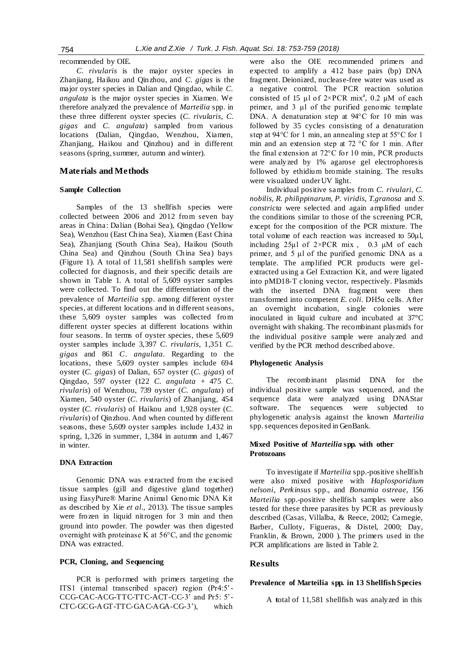recommended by OIE.

*C. rivularis* is the major oyster species in Zhanjiang, Haikou and Qinzhou, and *C. gigas* is the major oyster species in Dalian and Qingdao, while *C. angulata* is the major oyster species in Xiamen. We therefore analyzed the prevalence of *Marteilia* spp. in these three different oyster species (*C. rivularis*, *C. gigas* and *C. angulata*) sampled from various locations (Dalian, Qingdao, Wenzhou, Xiamen, Zhanjiang, Haikou and Qinzhou) and in different seasons (spring, summer, autumn and winter).

# **Materials and Methods**

#### **Sample Collection**

Samples of the 13 shellfish species were collected between 2006 and 2012 from seven bay areas in China: Dalian (Bohai Sea), Qingdao (Yellow Sea), Wenzhou (East China Sea), Xiamen (East China Sea), Zhanjiang (South China Sea), Haikou (South China Sea) and Qinzhou (South China Sea) bays (Figure 1). A total of 11,581 shellfish samples were collected for diagnosis, and their specific details are shown in Table 1. A total of 5,609 oyster samples were collected. To find out the differentiation of the prevalence of *Marteilia* spp. among different oyster species, at different locations and in different seasons, these 5,609 oyster samples was collected from different oyster species at different locations within four seasons. In terms of oyster species, these 5,609 oyster samples include 3,397 *C. rivularis*, 1,351 *C. gigas* and 861 *C. angulata.* Regarding to the locations, these 5,609 oyster samples include 694 oyster (*C. gigas*) of Dalian, 657 oyster (*C. gigas*) of Qingdao, 597 oyster (122 *C. angulata* + 475 *C. rivularis*) of Wenzhou, 739 oyster (*C. angulata*) of Xiamen, 540 oyster (*C. rivularis*) of Zhanjiang, 454 oyster (*C. rivularis*) of Haikou and 1,928 oyster (*C. rivularis*) of Qinzhou. And when counted by different seasons, these 5,609 oyster samples include 1,432 in spring, 1,326 in summer, 1,384 in autumn and 1,467 in winter.

#### **DNA Extraction**

Genomic DNA was extracted from the excised tissue samples (gill and digestive gland together) using EasyPure® Marine Animal Genomic DNA Kit as described by Xie *et al.,* 2013). The tissue samples were frozen in liquid nitrogen for 3 min and then ground into powder. The powder was then digested overnight with proteinase K at 56°C, and the genomic DNA was extracted.

# **PCR, Cloning, and Sequencing**

PCR is performed with primers targeting the ITS1 (internal transcribed spacer) region (Pr4:5'- CCG-CAC-ACG-TTC-TTC-ACT-CC-3' and Pr5: 5'- CTC-GCG-AGT-TTC-GAC-AGA-CG-3'), which

were also the OIE recommended primers and expected to amplify a 412 base pairs (bp) DNA fragment. Deionized, nuclease-free water was used as a negative control. The PCR reaction solution consisted of 15  $\mu$ l of 2×PCR mix<sup>a</sup>, 0.2  $\mu$ M of each primer, and 3 μl of the purified genomic template DNA. A denaturation step at 94°C for 10 min was followed by 35 cycles consisting of a denaturation step at 94°C for 1 min, an annealing step at 55°C for 1 min and an extension step at 72 °C for 1 min. After the final extension at 72°C for 10 min, PCR products were analyzed by 1% agarose gel electrophoresis followed by ethidium bromide staining. The results were visualized under UV light.

Individual positive samples from *C. rivulari, C. nobilis, R. philippinarum, P. viridis, T.granosa* and *S. constricta* were selected and again amplified under the conditions similar to those of the screening PCR, except for the composition of the PCR mixture. The total volume of each reaction was increased to 50μl, including  $25\mu$ l of  $2\times$ PCR mix, 0.3  $\mu$ M of each primer, and 5 μl of the purified genomic DNA as a template. The amplified PCR products were gelextracted using a Gel Extraction Kit, and were ligated into pMD18-T cloning vector, respectively. Plasmids with the inserted DNA fragment were then transformed into competent *E. coli.* DH5α cells. After an overnight incubation, single colonies were inoculated in liquid culture and incubated at 37°C overnight with shaking. The recombinant plasmids for the individual positive sample were analyzed and verified by the PCR method described above.

#### **Phylogenetic Analysis**

The recombinant plasmid DNA for the individual positive sample was sequenced, and the sequence data were analyzed using DNAStar software. The sequences were subjected to phylogenetic analysis against the known *Marteilia*  spp. sequences deposited in GenBank.

# **Mixed Positive of** *Marteilia* **spp. with other Protozoans**

To investigate if *Marteilia* spp.*-*positive shellfish were also mixed positive with *Haplosporidium nelsoni*, *Perkinsus* spp., and *Bonamia ostreae*, 156 *Marteilia* spp.*-*positive shellfish samples were also tested for these three parasites by PCR as previously described (Casas, Villalba, & Reece, 2002; Carnegie, Barber, Culloty, Figueras, & Distel, 2000; Day, Franklin, & Brown, 2000 ). The primers used in the PCR amplifications are listed in Table 2.

#### **Results**

#### **Prevalence of Marteilia spp. in 13 Shellfish Species**

A **t**otal of 11,581 shellfish was analyzed in this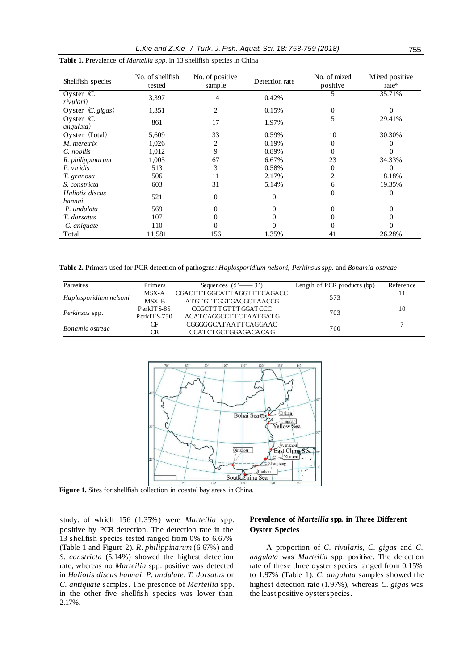*L.Xie and Z.Xie / Turk. J. Fish. Aquat. Sci. 18: 753-759 (2018)* 755

| Shellfish species                    | No. of shellfish<br>tested | No. of positive<br>sample | Detection rate | No. of mixed<br>positive | Mixed positive<br>rate* |
|--------------------------------------|----------------------------|---------------------------|----------------|--------------------------|-------------------------|
| Oyster $\overline{C}$ .<br>rivulari) | 3,397                      | 14                        | 0.42%          |                          | 35.71%                  |
| Oyster $(C. \text{ gigas})$          | 1,351                      | 2                         | 0.15%          | $\mathbf{0}$             | 0                       |
| Oyster $(C.$<br>angulata)            | 861                        | 17                        | 1.97%          | 5                        | 29.41%                  |
| Oyster $(Total)$                     | 5,609                      | 33                        | 0.59%          | 10                       | 30.30%                  |
| M. meretrix                          | 1,026                      | 2                         | 0.19%          | $\overline{0}$           | 0                       |
| C. nobilis                           | 1,012                      | 9                         | 0.89%          | $\Omega$                 | 0                       |
| R. philippinarum                     | 1,005                      | 67                        | 6.67%          | 23                       | 34.33%                  |
| P. viridis                           | 513                        | 3                         | 0.58%          | $\overline{0}$           | 0                       |
| T. granosa                           | 506                        | 11                        | 2.17%          | $\mathfrak{D}$           | 18.18%                  |
| S. constricta                        | 603                        | 31                        | 5.14%          | 6                        | 19.35%                  |
| Haliotis discus<br>hannai            | 521                        | 0                         | 0              | $\Omega$                 | $\overline{0}$          |
| P. undulata                          | 569                        |                           | 0              | 0                        | 0                       |
| T. dorsatus                          | 107                        | 0                         | 0              | 0                        | 0                       |
| C. aniquate                          | 110                        |                           |                | 0                        |                         |
| Total                                | 11,581                     | 156                       | 1.35%          | 41                       | 26.28%                  |

**Table 1.** Prevalence of *Marteilia spp.* in 13 shellfish species in China

**Table 2.** Primers used for PCR detection of pathogens*: Haplosporidium nelsoni, Perkinsus spp.* and *Bonamia ostreae*

| Parasites              | Primers       | Sequences $(5' \rightarrow 3')$ | Length of PCR products (bp) | Reference |
|------------------------|---------------|---------------------------------|-----------------------------|-----------|
| Haplosporidium nelsoni | MSX-A         | CGACTTTGGCATTAGGTTTCAGACC       | 573                         | 11        |
|                        | MSX-B         | AT GT GT T GGT GACGCT A ACCG    |                             |           |
| <i>Perkinsus</i> spp.  | PerkITS-85    | CCGCTTTGTTTGGATCCC              | 703                         | 10        |
|                        | $PerkITS-750$ | ACATCAGGCCTTCTAATGATG           |                             |           |
| Bonamia ostreae        | CF            | CGGGGCATAATTCAGGAAC             | 760                         | 7         |
|                        | <b>CR</b>     | CCATCTGCTGGAGACACAG             |                             |           |



**Figure 1.** Sites for shellfish collection in coastal bay areas in China.

study, of which 156 (1.35%) were *Marteilia* spp. positive by PCR detection. The detection rate in the 13 shellfish species tested ranged from 0% to 6.67% (Table 1 and Figure 2). *R. philippinarum* (6.67%) and *S. constricta* (5.14%) showed the highest detection rate, whereas no *Marteilia* spp. positive was detected in *Haliotis discus hannai, P. undulate, T. dorsatus* or *C. antiquate* samples. The presence of *Marteilia* spp. in the other five shellfish species was lower than 2.17%.

# **Prevalence of** *Marteilia* **spp. in Three Different Oyster Species**

A proportion of *C. rivularis*, *C. gigas* and *C. angulata* was *Marteilia* spp. positive. The detection rate of these three oyster species ranged from 0.15% to 1.97% (Table 1). *C. angulata* samples showed the highest detection rate (1.97%), whereas *C. gigas* was the least positive oyster species.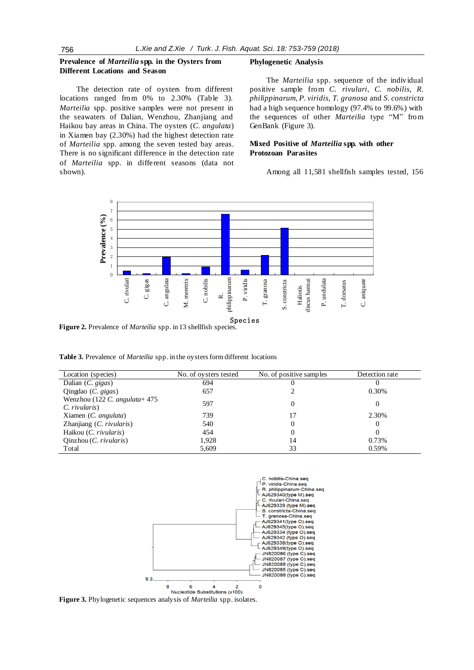# **Prevalence of** *Marteilia* **spp. in the Oysters from Different Locations and Season**

The detection rate of oysters from different locations ranged from 0% to 2.30% (Table 3). *Marteilia* spp. positive samples were not present in the seawaters of Dalian, Wenzhou, Zhanjiang and Haikou bay areas in China. The oysters (*C. angulata*) in Xiamen bay (2.30%) had the highest detection rate of *Marteilia* spp. among the seven tested bay areas. There is no significant difference in the detection rate of *Marteilia* spp. in different seasons (data not shown).

#### **Phylogenetic Analysis**

The *Marteilia* spp. sequence of the individual positive sample from *C. rivulari, C. nobilis, R. philippinarum, P. viridis, T. granosa* and *S. constricta* had a high sequence homology (97.4% to 99.6%) with the sequences of other *Marteilia* type "M" from GenBank (Figure 3).

# **Mixed Positive of** *Marteilia* **spp. with other Protozoan Parasites**

Among all 11,581 shellfish samples tested, 156



**Figure 2.** Prevalence of *Marteilia* spp. in 13 shellfish species.

**Table 3.** Prevalence of *Marteilia* spp. in the oysters form different locations

| Location (species)                                  | No. of oysters tested | No. of positive samples | Detection rate |
|-----------------------------------------------------|-----------------------|-------------------------|----------------|
| Dalian $(C. \text{ gigas})$                         | 694                   |                         |                |
| Qingdao $(C. \text{ gigas})$                        | 657                   |                         | 0.30%          |
| Wenzhou (122 C. angulata + $475$<br>$C.$ rivularis) | 597                   | 0                       | $\Omega$       |
| Xiamen (C. angulata)                                | 739                   | 17                      | 2.30%          |
| Zhanjiang (C. rivularis)                            | 540                   | $\theta$                | $\theta$       |
| Haikou (C. rivularis)                               | 454                   | $\Omega$                | $\Omega$       |
| Qinzhou(C. <i>rivularis</i> )                       | 1.928                 | 14                      | 0.73%          |
| Total                                               | 5,609                 | 33                      | 0.59%          |



**Figure 3.** Phylogenetic sequences analysis of *Marteilia* spp. isolates.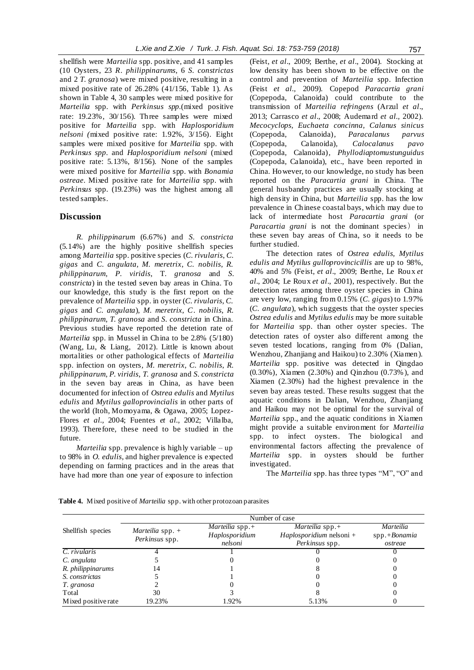shellfish were *Marteilia* spp. positive, and 41 samples (10 Oysters, 23 *R. philippinarums*, 6 *S. constrictas* and 2 *T. granosa*) were mixed positive, resulting in a mixed positive rate of 26.28% (41/156, Table 1). As shown in Table 4, 30 samples were mixed positive for *Marteilia* spp. with *Perkinsus spp.*(mixed positive rate: 19.23%, 30/156). Three samples were mixed positive for *Marteilia* spp. with *Haplosporidium nelsoni (*mixed positive rate: 1.92%, 3/156). Eight samples were mixed positive for *Marteilia* spp. with *Perkinsus spp.* and *Haplosporidium nelsoni* (mixed positive rate: 5.13%, 8/156). None of the samples were mixed positive for *Marteilia* spp. with *Bonamia ostreae*. Mixed positive rate for *Marteilia* spp. with *Perkinsus* spp. (19.23%) was the highest among all tested samples.

## **Discussion**

*R. philippinarum* (6.67%) and *S. constricta* (5.14%) are the highly positive shellfish species among *Marteilia* spp. positive species (*C. rivularis*, *C. gigas* and *C. angulata, M. meretrix*, *C. nobilis*, *R. philippinarum*, *P. viridis*, T*. granosa* and *S. constricta*) in the tested seven bay areas in China. To our knowledge, this study is the first report on the prevalence of *Marteilia* spp. in oyster (*C. rivularis*, *C. gigas* and *C. angulata*)*, M. meretrix*, *C. nobilis*, *R. philippinarum*, *T. granosa* and *S. constricta* in China. Previous studies have reported the detetion rate of *Marteilia* spp. in Mussel in China to be 2.8% (5/180) (Wang, Lu, & Liang, 2012). Little is known about mortalities or other pathological effects of *Marteilia*  spp. infection on oysters*, M. meretrix*, *C. nobilis*, *R. philippinarum*, *P. viridis*, *T. granosa* and *S. constricta* in the seven bay areas in China, as have been documented for infection of *Ostrea edulis* and *Mytilus edulis* and *Mytilus galloprovincialis* in other parts of the world (Itoh, Momoyama, & Ogawa, 2005; Lopez-Flores *et al.,* 2004; Fuentes *et al.,* 2002; Villalba, 1993). Therefore, these need to be studied in the future.

*Marteilia* spp. prevalence is highly variable – up to 98% in *O. edulis*, and higher prevalence is expected depending on farming practices and in the areas that have had more than one year of exposure to infection (Feist, *et al*., 2009; Berthe, *et al*., 2004). Stocking at low density has been shown to be effective on the control and prevention of *Marteilia* spp. Infection (Feist *et al.,* 2009). Copepod *Paracartia grani*  (Copepoda, Calanoida) could contribute to the transmission of *Marteilia refringens* (Arzul *et al*., 2013; Carrasco *et al*., 2008; Audemard *et al.,* 2002). *Mecocyclops, Euchaeta concinna, Calanus sinicus*  (Copepoda, Calanoida)*, Paracalanus parvus*  (Copepoda, Calanoida)*, Calocalanus pavo*  (Copepoda, Calanoida)*, Phyllodiaptomustunguidus*  (Copepoda, Calanoida), etc., have been reported in China. However, to our knowledge, no study has been reported on the *Paracartia grani* in China. The general husbandry practices are usually stocking at high density in China, but *Marteilia* spp. has the low prevalence in Chinese coastal bays, which may due to lack of intermediate host *Paracartia grani* (or *Paracartia grani* is not the dominant species) in these seven bay areas of China, so it needs to be further studied.

The detection rates of *Ostrea edulis, Mytilus edulis and Mytilus gulloprovincicillis* are up to 98%, 40% and 5% (Feist, *et al*., 2009; Berthe, Le Roux *et al*., 2004; Le Roux *et al*., 2001), respectively. But the detection rates among three oyster species in China are very low, ranging from 0.15% (*C. gigas*) to 1.97% (*C. angulata*), which suggests that the oyster species *Ostrea edulis* and *Mytilus edulis* may be more suitable for *Marteilia* spp. than other oyster species. The detection rates of oyster also different among the seven tested locations, ranging from 0% (Dalian, Wenzhou, Zhanjiang and Haikou) to 2.30% (Xiamen). *Marteilia* spp. positive was detected in Qingdao (0.30%), Xiamen (2.30%) and Qinzhou (0.73% ), and Xiamen (2.30%) had the highest prevalence in the seven bay areas tested. These results suggest that the aquatic conditions in Dalian, Wenzhou, Zhanjiang and Haikou may not be optimal for the survival of *Marteilia* spp., and the aquatic conditions in Xiamen might provide a suitable environment for *Marteilia*  spp. to infect oysters. The biological and environmental factors affecting the prevalence of *Marteilia* spp. in oysters should be further investigated.

The *Marteilia* spp. has three types "M", "O" and

|                            | Number of case                              |                    |                          |                |  |  |
|----------------------------|---------------------------------------------|--------------------|--------------------------|----------------|--|--|
| Shellfish species          | <i>Marteilia</i> spp. $+$<br>Perkinsus spp. | Marteilia spp. $+$ | Marteilia spp. $+$       | Marteilia      |  |  |
|                            |                                             | Haplosporidium     | Haplosporidium nelsoni + | $spp.+Bonamia$ |  |  |
|                            |                                             | nelsoni            | <i>Perkinsus</i> spp.    | ostreae        |  |  |
| $\overline{C}$ . rivularis |                                             |                    |                          |                |  |  |
| C. angulata                |                                             |                    |                          |                |  |  |
| R. philippinarums          | 14                                          |                    |                          |                |  |  |
| S. constrictas             |                                             |                    |                          |                |  |  |
| T. granosa                 |                                             |                    |                          |                |  |  |
| Total                      | 30                                          |                    |                          |                |  |  |
| Mixed positive rate        | 19.23%                                      | 1.92%              | 5.13%                    |                |  |  |

**Table 4.** Mixed positive of *Marteilia* spp. with other protozoan parasites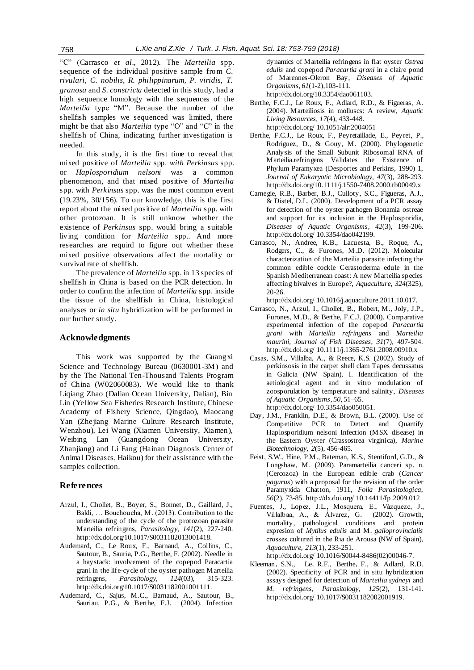"C" (Carrasco *et al*., 2012). The *Marteilia* spp. sequence of the individual positive sample from *C. rivulari, C. nobilis, R. philippinarum, P. viridis, T. granosa* and *S. constricta* detected in this study, had a high sequence homology with the sequences of the *Marteilia* type "M". Because the number of the shellfish samples we sequenced was limited, there might be that also *Marteilia* type "O" and "C" in the shellfish of China, indicating further investigation is needed.

In this study, it is the first time to reveal that mixed positive of *Marteilia* spp. *with Perkinsus* spp. or *Haplosporidium nelsoni* was a common phenomenon, and that mixed positive of *Marteilia*  spp. with *Perkinsus* spp. was the most common event (19.23%, 30/156). To our knowledge, this is the first report about the mixed positive of *Marteilia* spp. with other protozoan. It is still unknow whether the existence of *Perkinsus* spp. would bring a suitable living condition for *Marteilia* spp.. And more researches are requird to figure out whether these mixed positive observations affect the mortality or survival rate of shellfish.

The prevalence of *Marteilia* spp. in 13 species of shellfish in China is based on the PCR detection. In order to confirm the infection of *Marteilia* spp. inside the tissue of the shellfish in China, histological analyses or *in situ* hybridization will be performed in our further study.

# **Acknowledgments**

This work was supported by the Guangxi Science and Technology Bureau (0630001-3M) and by the The National Ten-Thousand Talents Program of China (W02060083). We would like to thank Liqiang Zhao (Dalian Ocean University, Dalian), Bin Lin (Yellow Sea Fisheries Research Institute, Chinese Academy of Fishery Science, Qingdao), Maocang Yan (Zhejiang Marine Culture Research Institute, Wenzhou), Lei Wang (Xiamen University, Xiamen), Weibing Lan (Guangdong Ocean University, Zhanjiang) and Li Fang (Hainan Diagnosis Center of Animal Diseases, Haikou) for their assistance with the samples collection.

#### **References**

- Arzul, I., Chollet, B., Boyer, S., Bonnet, D., Gaillard, J., Baldi, … Bouchoucha, M. (2013). Contribution to the understanding of the cycle of the protozoan parasite Marteilia refringens, *Parasitology*, *141*(2), 227-240. http://dx.doi.org/10.1017/S0031182013001418.
- Audemard, C., Le Roux, F., Barnaud, A., Collins, C., Sautour, B., Sauria, P.G., Berthe, F. (2002). Needle in a haystack: involvement of the copepod Paracartia grani in the life-cycle of the oyster pathogen Marteilia refringens, *Parasitology*, *124*(03), 315-323. http://dx.doi.org/10.1017/S0031182001001111.
- Audemard, C., Sajus, M.C., Barnaud, A., Sautour, B., Sauriau, P.G., & Berthe, F.J. (2004). Infection

dynamics of Marteilia refringens in flat oyster *Ostrea edulis* and copepod *Paracartia grani* in a claire pond of Marennes-Oleron Bay, *Diseases of Aquatic Organisms*, *61*(1-2),103-111.

http://dx.doi.org/10.3354/dao061103.

- Berthe, F.C.J., Le Roux, F., Adlard, R.D., & Figueras, A. (2004). Marteiliosis in molluscs: A review, *Aquatic Living Resources*, *17*(4), 433-448. http://dx.doi.org/ 10.1051/alr:2004051
- Berthe, F.C.J., Le Roux, F., Peyretaillade, E., Peyret, P., Rodriguez, D., & Gouy, M. (2000). Phylogenetic Analysis of the Small Subunit Ribosomal RNA of Marteilia.refringens Validates the Existence of Phylum Paramyxea (Desportes and Perkins, 1990) 1, *Journal of Eukaryotic Microbiology*, *47*(3), 288-293. http://dx.doi.org/10.1111/j.1550-7408.2000.tb00049.x
- Carnegie, R.B., Barber, B.J., Culloty, S.C., Figueras, A.J., & Distel, D.L. (2000). Development of a PCR assay for detection of the oyster pathogen Bonamia ostreae and support for its inclusion in the Haplosporidia, *Diseases of Aquatic Organisms*, *42*(3), 199-206. http://dx.doi.org/ 10.3354/dao042199.
- Carrasco, N., Andree, K.B., Lacuesta, B., Roque, A., Rodgers, C., & Furones, M.D. (2012). Molecular characterization of the Marteilia parasite infecting the common edible cockle Cerastoderma edule in the Spanish Mediterranean coast: A new Marteilia species affecting bivalves in Europe?, *Aquaculture*, *324*(325), 20-26.

http://dx.doi.org/ 10.1016/j.aquaculture.2011.10.017.

- Carrasco, N., Arzul, I., Chollet, B., Robert, M., Joly, J.P., Furones, M.D., & Berthe, F.C.J. (2008). Comparative experimental infection of the copepod *Paracartia grani* with *Marteilia refringens* and *Marteilia maurini*, *Journal of Fish Diseases*, *31*(7), 497-504. http://dx.doi.org/ 10.1111/j.1365-2761.2008.00910.x
- Casas, S.M., Villalba, A., & Reece, K.S. (2002). Study of perkinsosis in the carpet shell clam Tapes decussatus in Galicia (NW Spain). I. Identification of the aetiological agent and in vitro modulation of zoosporulation by temperature and salinity, *Diseases of Aquatic Organisms*, *50*, 51–65. http://dx.doi.org/ 10.3354/dao050051.
- Day, J.M., Franklin, D.E., & Brown, B.L. (2000). Use of Competitive PCR to Detect and Quantify Haplosporidium nelsoni Infection (MSX disease) in the Eastern Oyster (Crassostrea virginica), *Marine Biotechnology*, *2*(5), 456-465.
- Feist, S.W., Hine, P.M., Bateman, K.S., Stentiford, G.D., & Longshaw, M. (2009). Paramarteilia canceri sp. n. (Cercozoa) in the European edible crab (*Cancer pagurus*) with a proposal for the revision of the order Paramyxida Chatton, 1911, *Folia Parasitologica*, *56*(2), 73-85. http://dx.doi.org/ 10.14411/fp.2009.012
- Fuentes, J., Lopez, J.L., Mosquera, E., Vázquezc, J., Villalbaa, A., & Álvarez, G. (2002). Growth, mortality, pathological conditions and protein expresion of *Mytilus edulis* and M*. galloprovincialis* crosses cultured in the Rıa de Arousa (NW of Spain), *Aquaculture, 213*(1), 233-251. http://dx.doi.org/ 10.1016/S0044-8486(02)00046-7.
- Kleeman, S.N., Le, R.F., Berthe, F., & Adlard, R.D. (2002). Specificity of PCR and in situ hybridization assays designed for detection of *Marteilia sydneyi* and *M. refringens*, *Parasitology, 125*(2), 131-141. http://dx.doi.org/ 10.1017/S0031182002001919.